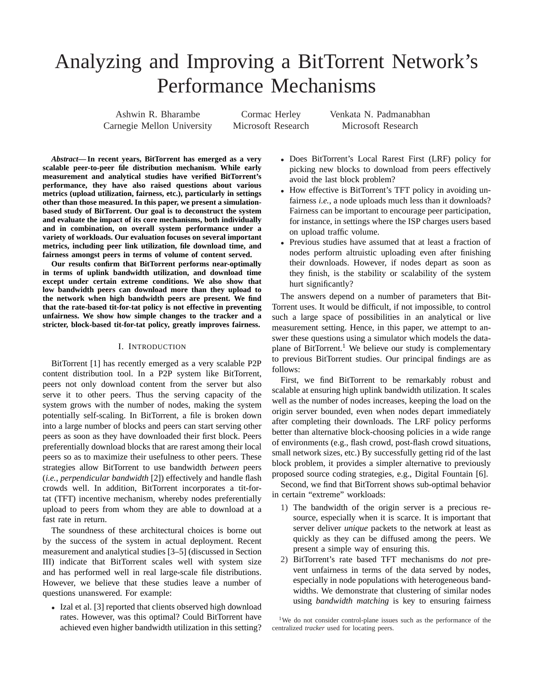# Analyzing and Improving a BitTorrent Network's Performance Mechanisms

Carnegie Mellon University Microsoft Research Microsoft Research

Ashwin R. Bharambe Cormac Herley Venkata N. Padmanabhan

*Abstract***— In recent years, BitTorrent has emerged as a very scalable peer-to-peer file distribution mechanism. While early measurement and analytical studies have verified BitTorrent's performance, they have also raised questions about various metrics (upload utilization, fairness, etc.), particularly in settings other than those measured. In this paper, we present a simulationbased study of BitTorrent. Our goal is to deconstruct the system and evaluate the impact of its core mechanisms, both individually and in combination, on overall system performance under a variety of workloads. Our evaluation focuses on several important metrics, including peer link utilization, file download time, and fairness amongst peers in terms of volume of content served.**

**Our results confirm that BitTorrent performs near-optimally in terms of uplink bandwidth utilization, and download time except under certain extreme conditions. We also show that low bandwidth peers can download more than they upload to the network when high bandwidth peers are present. We find that the rate-based tit-for-tat policy is not effective in preventing unfairness. We show how simple changes to the tracker and a stricter, block-based tit-for-tat policy, greatly improves fairness.**

# I. INTRODUCTION

BitTorrent [1] has recently emerged as a very scalable P2P content distribution tool. In a P2P system like BitTorrent, peers not only download content from the server but also serve it to other peers. Thus the serving capacity of the system grows with the number of nodes, making the system potentially self-scaling. In BitTorrent, a file is broken down into a large number of blocks and peers can start serving other peers as soon as they have downloaded their first block. Peers preferentially download blocks that are rarest among their local peers so as to maximize their usefulness to other peers. These strategies allow BitTorrent to use bandwidth *between* peers (*i.e.*, *perpendicular bandwidth* [2]) effectively and handle flash crowds well. In addition, BitTorrent incorporates a tit-fortat (TFT) incentive mechanism, whereby nodes preferentially upload to peers from whom they are able to download at a fast rate in return.

The soundness of these architectural choices is borne out by the success of the system in actual deployment. Recent measurement and analytical studies [3–5] (discussed in Section III) indicate that BitTorrent scales well with system size and has performed well in real large-scale file distributions. However, we believe that these studies leave a number of questions unanswered. For example:

• Izal et al. [3] reported that clients observed high download rates. However, was this optimal? Could BitTorrent have achieved even higher bandwidth utilization in this setting?

- Does BitTorrent's Local Rarest First (LRF) policy for picking new blocks to download from peers effectively avoid the last block problem?
- How effective is BitTorrent's TFT policy in avoiding unfairness *i.e.*, a node uploads much less than it downloads? Fairness can be important to encourage peer participation, for instance, in settings where the ISP charges users based on upload traffic volume.
- Previous studies have assumed that at least a fraction of nodes perform altruistic uploading even after finishing their downloads. However, if nodes depart as soon as they finish, is the stability or scalability of the system hurt significantly?

The answers depend on a number of parameters that Bit-Torrent uses. It would be difficult, if not impossible, to control such a large space of possibilities in an analytical or live measurement setting. Hence, in this paper, we attempt to answer these questions using a simulator which models the dataplane of BitTorrent.<sup>1</sup> We believe our study is complementary to previous BitTorrent studies. Our principal findings are as follows:

First, we find BitTorrent to be remarkably robust and scalable at ensuring high uplink bandwidth utilization. It scales well as the number of nodes increases, keeping the load on the origin server bounded, even when nodes depart immediately after completing their downloads. The LRF policy performs better than alternative block-choosing policies in a wide range of environments (e.g., flash crowd, post-flash crowd situations, small network sizes, etc.) By successfully getting rid of the last block problem, it provides a simpler alternative to previously proposed source coding strategies, e.g., Digital Fountain [6].

Second, we find that BitTorrent shows sub-optimal behavior in certain "extreme" workloads:

- 1) The bandwidth of the origin server is a precious resource, especially when it is scarce. It is important that server deliver *unique* packets to the network at least as quickly as they can be diffused among the peers. We present a simple way of ensuring this.
- 2) BitTorrent's rate based TFT mechanisms do *not* prevent unfairness in terms of the data served by nodes, especially in node populations with heterogeneous bandwidths. We demonstrate that clustering of similar nodes using *bandwidth matching* is key to ensuring fairness

<sup>1</sup>We do not consider control-plane issues such as the performance of the centralized *tracker* used for locating peers.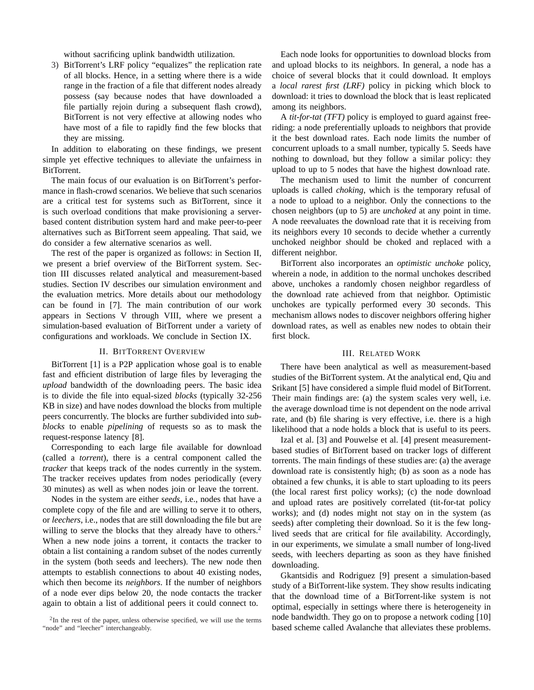without sacrificing uplink bandwidth utilization.

3) BitTorrent's LRF policy "equalizes" the replication rate of all blocks. Hence, in a setting where there is a wide range in the fraction of a file that different nodes already possess (say because nodes that have downloaded a file partially rejoin during a subsequent flash crowd), BitTorrent is not very effective at allowing nodes who have most of a file to rapidly find the few blocks that they are missing.

In addition to elaborating on these findings, we present simple yet effective techniques to alleviate the unfairness in BitTorrent.

The main focus of our evaluation is on BitTorrent's performance in flash-crowd scenarios. We believe that such scenarios are a critical test for systems such as BitTorrent, since it is such overload conditions that make provisioning a serverbased content distribution system hard and make peer-to-peer alternatives such as BitTorrent seem appealing. That said, we do consider a few alternative scenarios as well.

The rest of the paper is organized as follows: in Section II, we present a brief overview of the BitTorrent system. Section III discusses related analytical and measurement-based studies. Section IV describes our simulation environment and the evaluation metrics. More details about our methodology can be found in [7]. The main contribution of our work appears in Sections V through VIII, where we present a simulation-based evaluation of BitTorrent under a variety of configurations and workloads. We conclude in Section IX.

## II. BITTORRENT OVERVIEW

BitTorrent [1] is a P2P application whose goal is to enable fast and efficient distribution of large files by leveraging the *upload* bandwidth of the downloading peers. The basic idea is to divide the file into equal-sized *blocks* (typically 32-256 KB in size) and have nodes download the blocks from multiple peers concurrently. The blocks are further subdivided into *subblocks* to enable *pipelining* of requests so as to mask the request-response latency [8].

Corresponding to each large file available for download (called a *torrent*), there is a central component called the *tracker* that keeps track of the nodes currently in the system. The tracker receives updates from nodes periodically (every 30 minutes) as well as when nodes join or leave the torrent.

Nodes in the system are either *seeds*, i.e., nodes that have a complete copy of the file and are willing to serve it to others, or *leechers*, i.e., nodes that are still downloading the file but are willing to serve the blocks that they already have to others.<sup>2</sup> When a new node joins a torrent, it contacts the tracker to obtain a list containing a random subset of the nodes currently in the system (both seeds and leechers). The new node then attempts to establish connections to about 40 existing nodes, which then become its *neighbors*. If the number of neighbors of a node ever dips below 20, the node contacts the tracker again to obtain a list of additional peers it could connect to.

Each node looks for opportunities to download blocks from and upload blocks to its neighbors. In general, a node has a choice of several blocks that it could download. It employs a *local rarest first (LRF)* policy in picking which block to download: it tries to download the block that is least replicated among its neighbors.

A *tit-for-tat (TFT)* policy is employed to guard against freeriding: a node preferentially uploads to neighbors that provide it the best download rates. Each node limits the number of concurrent uploads to a small number, typically 5. Seeds have nothing to download, but they follow a similar policy: they upload to up to 5 nodes that have the highest download rate.

The mechanism used to limit the number of concurrent uploads is called *choking*, which is the temporary refusal of a node to upload to a neighbor. Only the connections to the chosen neighbors (up to 5) are *unchoked* at any point in time. A node reevaluates the download rate that it is receiving from its neighbors every 10 seconds to decide whether a currently unchoked neighbor should be choked and replaced with a different neighbor.

BitTorrent also incorporates an *optimistic unchoke* policy, wherein a node, in addition to the normal unchokes described above, unchokes a randomly chosen neighbor regardless of the download rate achieved from that neighbor. Optimistic unchokes are typically performed every 30 seconds. This mechanism allows nodes to discover neighbors offering higher download rates, as well as enables new nodes to obtain their first block.

## III. RELATED WORK

There have been analytical as well as measurement-based studies of the BitTorrent system. At the analytical end, Qiu and Srikant [5] have considered a simple fluid model of BitTorrent. Their main findings are: (a) the system scales very well, i.e. the average download time is not dependent on the node arrival rate, and (b) file sharing is very effective, i.e. there is a high likelihood that a node holds a block that is useful to its peers.

Izal et al. [3] and Pouwelse et al. [4] present measurementbased studies of BitTorrent based on tracker logs of different torrents. The main findings of these studies are: (a) the average download rate is consistently high; (b) as soon as a node has obtained a few chunks, it is able to start uploading to its peers (the local rarest first policy works); (c) the node download and upload rates are positively correlated (tit-for-tat policy works); and (d) nodes might not stay on in the system (as seeds) after completing their download. So it is the few longlived seeds that are critical for file availability. Accordingly, in our experiments, we simulate a small number of long-lived seeds, with leechers departing as soon as they have finished downloading.

Gkantsidis and Rodriguez [9] present a simulation-based study of a BitTorrent-like system. They show results indicating that the download time of a BitTorrent-like system is not optimal, especially in settings where there is heterogeneity in node bandwidth. They go on to propose a network coding [10] based scheme called Avalanche that alleviates these problems.

 $2$ In the rest of the paper, unless otherwise specified, we will use the terms "node" and "leecher" interchangeably.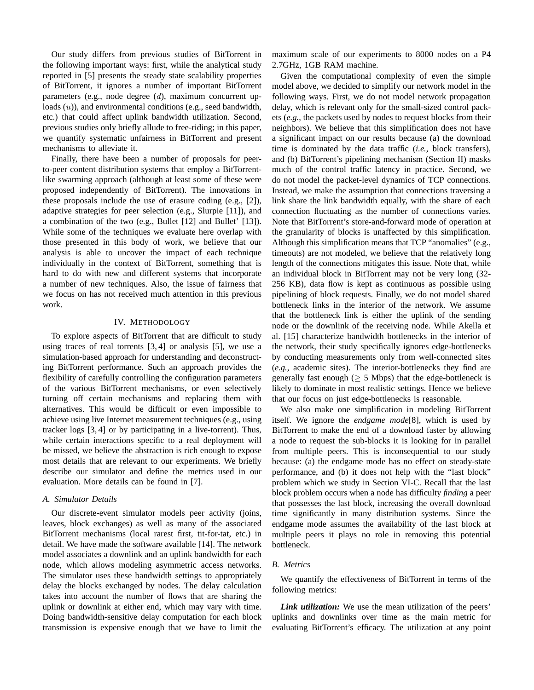Our study differs from previous studies of BitTorrent in the following important ways: first, while the analytical study reported in [5] presents the steady state scalability properties of BitTorrent, it ignores a number of important BitTorrent parameters (e.g., node degree (d), maximum concurrent uploads  $(u)$ ), and environmental conditions (e.g., seed bandwidth, etc.) that could affect uplink bandwidth utilization. Second, previous studies only briefly allude to free-riding; in this paper, we quantify systematic unfairness in BitTorrent and present mechanisms to alleviate it.

Finally, there have been a number of proposals for peerto-peer content distribution systems that employ a BitTorrentlike swarming approach (although at least some of these were proposed independently of BitTorrent). The innovations in these proposals include the use of erasure coding (e.g., [2]), adaptive strategies for peer selection (e.g., Slurpie [11]), and a combination of the two (e.g., Bullet [12] and Bullet' [13]). While some of the techniques we evaluate here overlap with those presented in this body of work, we believe that our analysis is able to uncover the impact of each technique individually in the context of BitTorrent, something that is hard to do with new and different systems that incorporate a number of new techniques. Also, the issue of fairness that we focus on has not received much attention in this previous work.

# IV. METHODOLOGY

To explore aspects of BitTorrent that are difficult to study using traces of real torrents [3, 4] or analysis [5], we use a simulation-based approach for understanding and deconstructing BitTorrent performance. Such an approach provides the flexibility of carefully controlling the configuration parameters of the various BitTorrent mechanisms, or even selectively turning off certain mechanisms and replacing them with alternatives. This would be difficult or even impossible to achieve using live Internet measurement techniques (e.g., using tracker logs [3, 4] or by participating in a live-torrent). Thus, while certain interactions specific to a real deployment will be missed, we believe the abstraction is rich enough to expose most details that are relevant to our experiments. We briefly describe our simulator and define the metrics used in our evaluation. More details can be found in [7].

# *A. Simulator Details*

Our discrete-event simulator models peer activity (joins, leaves, block exchanges) as well as many of the associated BitTorrent mechanisms (local rarest first, tit-for-tat, etc.) in detail. We have made the software available [14]. The network model associates a downlink and an uplink bandwidth for each node, which allows modeling asymmetric access networks. The simulator uses these bandwidth settings to appropriately delay the blocks exchanged by nodes. The delay calculation takes into account the number of flows that are sharing the uplink or downlink at either end, which may vary with time. Doing bandwidth-sensitive delay computation for each block transmission is expensive enough that we have to limit the maximum scale of our experiments to 8000 nodes on a P4 2.7GHz, 1GB RAM machine.

Given the computational complexity of even the simple model above, we decided to simplify our network model in the following ways. First, we do not model network propagation delay, which is relevant only for the small-sized control packets (*e.g.*, the packets used by nodes to request blocks from their neighbors). We believe that this simplification does not have a significant impact on our results because (a) the download time is dominated by the data traffic (*i.e.*, block transfers), and (b) BitTorrent's pipelining mechanism (Section II) masks much of the control traffic latency in practice. Second, we do not model the packet-level dynamics of TCP connections. Instead, we make the assumption that connections traversing a link share the link bandwidth equally, with the share of each connection fluctuating as the number of connections varies. Note that BitTorrent's store-and-forward mode of operation at the granularity of blocks is unaffected by this simplification. Although this simplification means that TCP "anomalies" (e.g., timeouts) are not modeled, we believe that the relatively long length of the connections mitigates this issue. Note that, while an individual block in BitTorrent may not be very long (32- 256 KB), data flow is kept as continuous as possible using pipelining of block requests. Finally, we do not model shared bottleneck links in the interior of the network. We assume that the bottleneck link is either the uplink of the sending node or the downlink of the receiving node. While Akella et al. [15] characterize bandwidth bottlenecks in the interior of the network, their study specifically ignores edge-bottlenecks by conducting measurements only from well-connected sites (*e.g.*, academic sites). The interior-bottlenecks they find are generally fast enough ( $\geq$  5 Mbps) that the edge-bottleneck is likely to dominate in most realistic settings. Hence we believe that our focus on just edge-bottlenecks is reasonable.

We also make one simplification in modeling BitTorrent itself. We ignore the *endgame mode*[8], which is used by BitTorrent to make the end of a download faster by allowing a node to request the sub-blocks it is looking for in parallel from multiple peers. This is inconsequential to our study because: (a) the endgame mode has no effect on steady-state performance, and (b) it does not help with the "last block" problem which we study in Section VI-C. Recall that the last block problem occurs when a node has difficulty *finding* a peer that possesses the last block, increasing the overall download time significantly in many distribution systems. Since the endgame mode assumes the availability of the last block at multiple peers it plays no role in removing this potential bottleneck.

## *B. Metrics*

We quantify the effectiveness of BitTorrent in terms of the following metrics:

*Link utilization:* We use the mean utilization of the peers' uplinks and downlinks over time as the main metric for evaluating BitTorrent's efficacy. The utilization at any point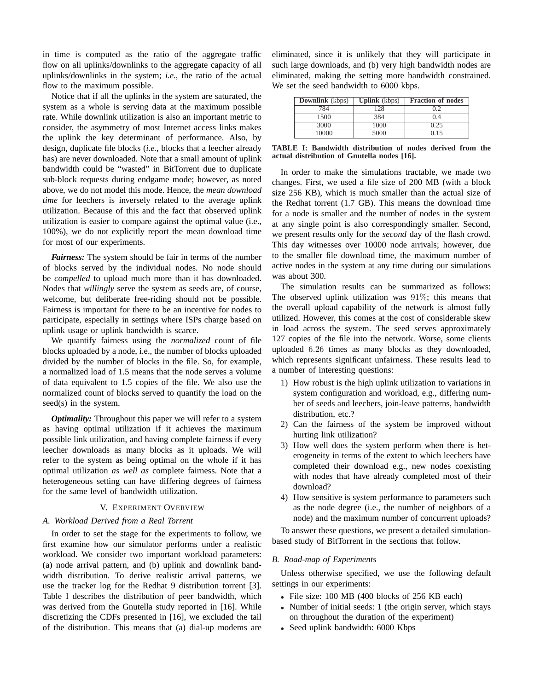in time is computed as the ratio of the aggregate traffic flow on all uplinks/downlinks to the aggregate capacity of all uplinks/downlinks in the system; *i.e.*, the ratio of the actual flow to the maximum possible.

Notice that if all the uplinks in the system are saturated, the system as a whole is serving data at the maximum possible rate. While downlink utilization is also an important metric to consider, the asymmetry of most Internet access links makes the uplink the key determinant of performance. Also, by design, duplicate file blocks (*i.e.*, blocks that a leecher already has) are never downloaded. Note that a small amount of uplink bandwidth could be "wasted" in BitTorrent due to duplicate sub-block requests during endgame mode; however, as noted above, we do not model this mode. Hence, the *mean download time* for leechers is inversely related to the average uplink utilization. Because of this and the fact that observed uplink utilization is easier to compare against the optimal value (i.e., 100%), we do not explicitly report the mean download time for most of our experiments.

*Fairness:* The system should be fair in terms of the number of blocks served by the individual nodes. No node should be *compelled* to upload much more than it has downloaded. Nodes that *willingly* serve the system as seeds are, of course, welcome, but deliberate free-riding should not be possible. Fairness is important for there to be an incentive for nodes to participate, especially in settings where ISPs charge based on uplink usage or uplink bandwidth is scarce.

We quantify fairness using the *normalized* count of file blocks uploaded by a node, i.e., the number of blocks uploaded divided by the number of blocks in the file. So, for example, a normalized load of 1.5 means that the node serves a volume of data equivalent to 1.5 copies of the file. We also use the normalized count of blocks served to quantify the load on the seed(s) in the system.

*Optimality:* Throughout this paper we will refer to a system as having optimal utilization if it achieves the maximum possible link utilization, and having complete fairness if every leecher downloads as many blocks as it uploads. We will refer to the system as being optimal on the whole if it has optimal utilization *as well as* complete fairness. Note that a heterogeneous setting can have differing degrees of fairness for the same level of bandwidth utilization.

## V. EXPERIMENT OVERVIEW

# *A. Workload Derived from a Real Torrent*

In order to set the stage for the experiments to follow, we first examine how our simulator performs under a realistic workload. We consider two important workload parameters: (a) node arrival pattern, and (b) uplink and downlink bandwidth distribution. To derive realistic arrival patterns, we use the tracker log for the Redhat 9 distribution torrent [3]. Table I describes the distribution of peer bandwidth, which was derived from the Gnutella study reported in [16]. While discretizing the CDFs presented in [16], we excluded the tail of the distribution. This means that (a) dial-up modems are eliminated, since it is unlikely that they will participate in such large downloads, and (b) very high bandwidth nodes are eliminated, making the setting more bandwidth constrained. We set the seed bandwidth to 6000 kbps.

| <b>Downlink</b> (kbps) | <b>Uplink</b> (kbps) | <b>Fraction of nodes</b> |
|------------------------|----------------------|--------------------------|
| 784                    | 128                  | 72                       |
| 1500                   | 384                  | ገ 4                      |
| 3000                   | 1000                 | 0.25                     |
| 10000                  | 5000                 | 0.15                     |

**TABLE I: Bandwidth distribution of nodes derived from the actual distribution of Gnutella nodes [16].**

In order to make the simulations tractable, we made two changes. First, we used a file size of 200 MB (with a block size 256 KB), which is much smaller than the actual size of the Redhat torrent (1.7 GB). This means the download time for a node is smaller and the number of nodes in the system at any single point is also correspondingly smaller. Second, we present results only for the *second* day of the flash crowd. This day witnesses over 10000 node arrivals; however, due to the smaller file download time, the maximum number of active nodes in the system at any time during our simulations was about 300.

The simulation results can be summarized as follows: The observed uplink utilization was 91%; this means that the overall upload capability of the network is almost fully utilized. However, this comes at the cost of considerable skew in load across the system. The seed serves approximately 127 copies of the file into the network. Worse, some clients uploaded 6.26 times as many blocks as they downloaded, which represents significant unfairness. These results lead to a number of interesting questions:

- 1) How robust is the high uplink utilization to variations in system configuration and workload, e.g., differing number of seeds and leechers, join-leave patterns, bandwidth distribution, etc.?
- 2) Can the fairness of the system be improved without hurting link utilization?
- 3) How well does the system perform when there is heterogeneity in terms of the extent to which leechers have completed their download e.g., new nodes coexisting with nodes that have already completed most of their download?
- 4) How sensitive is system performance to parameters such as the node degree (i.e., the number of neighbors of a node) and the maximum number of concurrent uploads?

To answer these questions, we present a detailed simulationbased study of BitTorrent in the sections that follow.

# *B. Road-map of Experiments*

Unless otherwise specified, we use the following default settings in our experiments:

- File size: 100 MB (400 blocks of 256 KB each)
- Number of initial seeds: 1 (the origin server, which stays on throughout the duration of the experiment)
- Seed uplink bandwidth: 6000 Kbps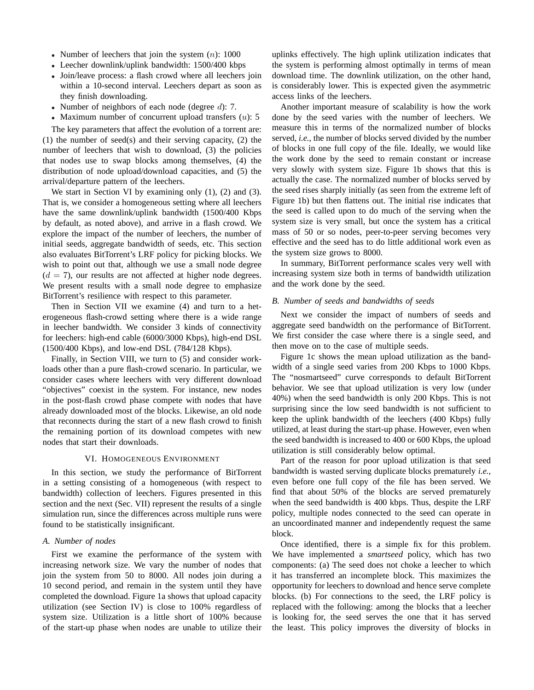- Number of leechers that join the system  $(n)$ : 1000
- Leecher downlink/uplink bandwidth: 1500/400 kbps
- Join/leave process: a flash crowd where all leechers join within a 10-second interval. Leechers depart as soon as they finish downloading.
- Number of neighbors of each node (degree  $d$ ): 7.
- Maximum number of concurrent upload transfers  $(u)$ : 5

The key parameters that affect the evolution of a torrent are: (1) the number of seed(s) and their serving capacity, (2) the number of leechers that wish to download, (3) the policies that nodes use to swap blocks among themselves, (4) the distribution of node upload/download capacities, and (5) the arrival/departure pattern of the leechers.

We start in Section VI by examining only (1), (2) and (3). That is, we consider a homogeneous setting where all leechers have the same downlink/uplink bandwidth (1500/400 Kbps by default, as noted above), and arrive in a flash crowd. We explore the impact of the number of leechers, the number of initial seeds, aggregate bandwidth of seeds, etc. This section also evaluates BitTorrent's LRF policy for picking blocks. We wish to point out that, although we use a small node degree  $(d = 7)$ , our results are not affected at higher node degrees. We present results with a small node degree to emphasize BitTorrent's resilience with respect to this parameter.

Then in Section VII we examine (4) and turn to a heterogeneous flash-crowd setting where there is a wide range in leecher bandwidth. We consider 3 kinds of connectivity for leechers: high-end cable (6000/3000 Kbps), high-end DSL (1500/400 Kbps), and low-end DSL (784/128 Kbps).

Finally, in Section VIII, we turn to (5) and consider workloads other than a pure flash-crowd scenario. In particular, we consider cases where leechers with very different download "objectives" coexist in the system. For instance, new nodes in the post-flash crowd phase compete with nodes that have already downloaded most of the blocks. Likewise, an old node that reconnects during the start of a new flash crowd to finish the remaining portion of its download competes with new nodes that start their downloads.

# VI. HOMOGENEOUS ENVIRONMENT

In this section, we study the performance of BitTorrent in a setting consisting of a homogeneous (with respect to bandwidth) collection of leechers. Figures presented in this section and the next (Sec. VII) represent the results of a single simulation run, since the differences across multiple runs were found to be statistically insignificant.

# *A. Number of nodes*

First we examine the performance of the system with increasing network size. We vary the number of nodes that join the system from 50 to 8000. All nodes join during a 10 second period, and remain in the system until they have completed the download. Figure 1a shows that upload capacity utilization (see Section IV) is close to 100% regardless of system size. Utilization is a little short of 100% because of the start-up phase when nodes are unable to utilize their

uplinks effectively. The high uplink utilization indicates that the system is performing almost optimally in terms of mean download time. The downlink utilization, on the other hand, is considerably lower. This is expected given the asymmetric access links of the leechers.

Another important measure of scalability is how the work done by the seed varies with the number of leechers. We measure this in terms of the normalized number of blocks served, *i.e.*, the number of blocks served divided by the number of blocks in one full copy of the file. Ideally, we would like the work done by the seed to remain constant or increase very slowly with system size. Figure 1b shows that this is actually the case. The normalized number of blocks served by the seed rises sharply initially (as seen from the extreme left of Figure 1b) but then flattens out. The initial rise indicates that the seed is called upon to do much of the serving when the system size is very small, but once the system has a critical mass of 50 or so nodes, peer-to-peer serving becomes very effective and the seed has to do little additional work even as the system size grows to 8000.

In summary, BitTorrent performance scales very well with increasing system size both in terms of bandwidth utilization and the work done by the seed.

# *B. Number of seeds and bandwidths of seeds*

Next we consider the impact of numbers of seeds and aggregate seed bandwidth on the performance of BitTorrent. We first consider the case where there is a single seed, and then move on to the case of multiple seeds.

Figure 1c shows the mean upload utilization as the bandwidth of a single seed varies from 200 Kbps to 1000 Kbps. The "nosmartseed" curve corresponds to default BitTorrent behavior. We see that upload utilization is very low (under 40%) when the seed bandwidth is only 200 Kbps. This is not surprising since the low seed bandwidth is not sufficient to keep the uplink bandwidth of the leechers (400 Kbps) fully utilized, at least during the start-up phase. However, even when the seed bandwidth is increased to 400 or 600 Kbps, the upload utilization is still considerably below optimal.

Part of the reason for poor upload utilization is that seed bandwidth is wasted serving duplicate blocks prematurely *i.e.*, even before one full copy of the file has been served. We find that about 50% of the blocks are served prematurely when the seed bandwidth is 400 kbps. Thus, despite the LRF policy, multiple nodes connected to the seed can operate in an uncoordinated manner and independently request the same block.

Once identified, there is a simple fix for this problem. We have implemented a *smartseed* policy, which has two components: (a) The seed does not choke a leecher to which it has transferred an incomplete block. This maximizes the opportunity for leechers to download and hence serve complete blocks. (b) For connections to the seed, the LRF policy is replaced with the following: among the blocks that a leecher is looking for, the seed serves the one that it has served the least. This policy improves the diversity of blocks in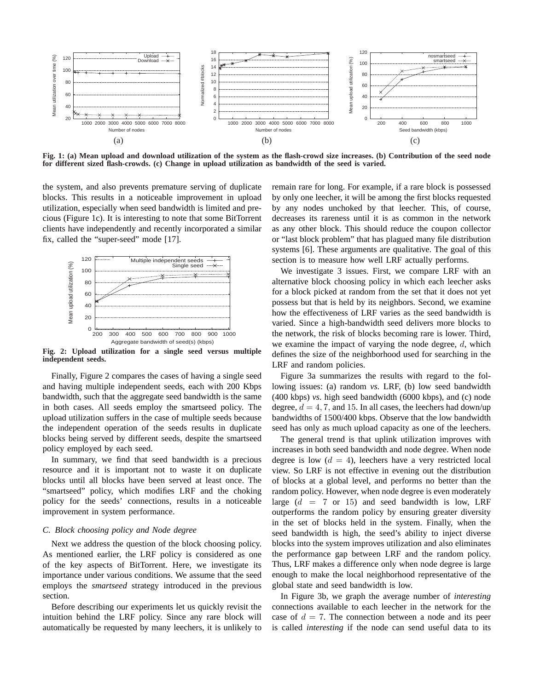

**Fig. 1: (a) Mean upload and download utilization of the system as the flash-crowd size increases. (b) Contribution of the seed node for different sized flash-crowds. (c) Change in upload utilization as bandwidth of the seed is varied.**

the system, and also prevents premature serving of duplicate blocks. This results in a noticeable improvement in upload utilization, especially when seed bandwidth is limited and precious (Figure 1c). It is interesting to note that some BitTorrent clients have independently and recently incorporated a similar fix, called the "super-seed" mode [17].



**Fig. 2: Upload utilization for a single seed versus multiple independent seeds.**

Finally, Figure 2 compares the cases of having a single seed and having multiple independent seeds, each with 200 Kbps bandwidth, such that the aggregate seed bandwidth is the same in both cases. All seeds employ the smartseed policy. The upload utilization suffers in the case of multiple seeds because the independent operation of the seeds results in duplicate blocks being served by different seeds, despite the smartseed policy employed by each seed.

In summary, we find that seed bandwidth is a precious resource and it is important not to waste it on duplicate blocks until all blocks have been served at least once. The "smartseed" policy, which modifies LRF and the choking policy for the seeds' connections, results in a noticeable improvement in system performance.

## *C. Block choosing policy and Node degree*

Next we address the question of the block choosing policy. As mentioned earlier, the LRF policy is considered as one of the key aspects of BitTorrent. Here, we investigate its importance under various conditions. We assume that the seed employs the *smartseed* strategy introduced in the previous section.

Before describing our experiments let us quickly revisit the intuition behind the LRF policy. Since any rare block will automatically be requested by many leechers, it is unlikely to remain rare for long. For example, if a rare block is possessed by only one leecher, it will be among the first blocks requested by any nodes unchoked by that leecher. This, of course, decreases its rareness until it is as common in the network as any other block. This should reduce the coupon collector or "last block problem" that has plagued many file distribution systems [6]. These arguments are qualitative. The goal of this section is to measure how well LRF actually performs.

We investigate 3 issues. First, we compare LRF with an alternative block choosing policy in which each leecher asks for a block picked at random from the set that it does not yet possess but that is held by its neighbors. Second, we examine how the effectiveness of LRF varies as the seed bandwidth is varied. Since a high-bandwidth seed delivers more blocks to the network, the risk of blocks becoming rare is lower. Third, we examine the impact of varying the node degree,  $d$ , which defines the size of the neighborhood used for searching in the LRF and random policies.

Figure 3a summarizes the results with regard to the following issues: (a) random *vs.* LRF, (b) low seed bandwidth (400 kbps) *vs.* high seed bandwidth (6000 kbps), and (c) node degree,  $d = 4, 7$ , and 15. In all cases, the leechers had down/up bandwidths of 1500/400 kbps. Observe that the low bandwidth seed has only as much upload capacity as one of the leechers.

The general trend is that uplink utilization improves with increases in both seed bandwidth and node degree. When node degree is low  $(d = 4)$ , leechers have a very restricted local view. So LRF is not effective in evening out the distribution of blocks at a global level, and performs no better than the random policy. However, when node degree is even moderately large  $(d = 7 \text{ or } 15)$  and seed bandwidth is low, LRF outperforms the random policy by ensuring greater diversity in the set of blocks held in the system. Finally, when the seed bandwidth is high, the seed's ability to inject diverse blocks into the system improves utilization and also eliminates the performance gap between LRF and the random policy. Thus, LRF makes a difference only when node degree is large enough to make the local neighborhood representative of the global state and seed bandwidth is low.

In Figure 3b, we graph the average number of *interesting* connections available to each leecher in the network for the case of  $d = 7$ . The connection between a node and its peer is called *interesting* if the node can send useful data to its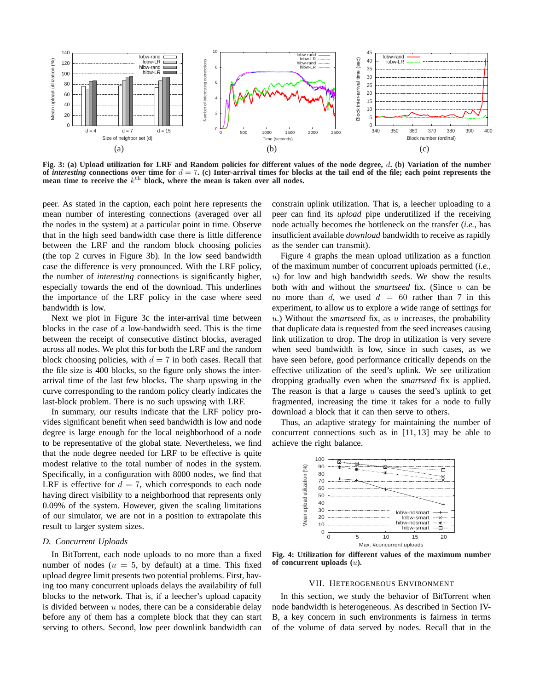

**Fig. 3: (a) Upload utilization for LRF and Random policies for different values of the node degree,** d**. (b) Variation of the number** of *interesting* connections over time for  $d = 7$ . (c) Inter-arrival times for blocks at the tail end of the file; each point represents the mean time to receive the  $k^{\text{th}}$  block, where the mean is taken over all nodes.

peer. As stated in the caption, each point here represents the mean number of interesting connections (averaged over all the nodes in the system) at a particular point in time. Observe that in the high seed bandwidth case there is little difference between the LRF and the random block choosing policies (the top 2 curves in Figure 3b). In the low seed bandwidth case the difference is very pronounced. With the LRF policy, the number of *interesting* connections is significantly higher, especially towards the end of the download. This underlines the importance of the LRF policy in the case where seed bandwidth is low.

Next we plot in Figure 3c the inter-arrival time between blocks in the case of a low-bandwidth seed. This is the time between the receipt of consecutive distinct blocks, averaged across all nodes. We plot this for both the LRF and the random block choosing policies, with  $d = 7$  in both cases. Recall that the file size is 400 blocks, so the figure only shows the interarrival time of the last few blocks. The sharp upswing in the curve corresponding to the random policy clearly indicates the last-block problem. There is no such upswing with LRF.

In summary, our results indicate that the LRF policy provides significant benefit when seed bandwidth is low and node degree is large enough for the local neighborhood of a node to be representative of the global state. Nevertheless, we find that the node degree needed for LRF to be effective is quite modest relative to the total number of nodes in the system. Specifically, in a configuration with 8000 nodes, we find that LRF is effective for  $d = 7$ , which corresponds to each node having direct visibility to a neighborhood that represents only 0.09% of the system. However, given the scaling limitations of our simulator, we are not in a position to extrapolate this result to larger system sizes.

# *D. Concurrent Uploads*

In BitTorrent, each node uploads to no more than a fixed number of nodes ( $u = 5$ , by default) at a time. This fixed upload degree limit presents two potential problems. First, having too many concurrent uploads delays the availability of full blocks to the network. That is, if a leecher's upload capacity is divided between  $u$  nodes, there can be a considerable delay before any of them has a complete block that they can start serving to others. Second, low peer downlink bandwidth can constrain uplink utilization. That is, a leecher uploading to a peer can find its *upload* pipe underutilized if the receiving node actually becomes the bottleneck on the transfer (*i.e.*, has insufficient available *download* bandwidth to receive as rapidly as the sender can transmit).

Figure 4 graphs the mean upload utilization as a function of the maximum number of concurrent uploads permitted (*i.e.*,  $u$ ) for low and high bandwidth seeds. We show the results both with and without the *smartseed* fix. (Since u can be no more than d, we used  $d = 60$  rather than 7 in this experiment, to allow us to explore a wide range of settings for  $u.$ ) Without the *smartseed* fix, as  $u$  increases, the probability that duplicate data is requested from the seed increases causing link utilization to drop. The drop in utilization is very severe when seed bandwidth is low, since in such cases, as we have seen before, good performance critically depends on the effective utilization of the seed's uplink. We see utilization dropping gradually even when the *smartseed* fix is applied. The reason is that a large  $u$  causes the seed's uplink to get fragmented, increasing the time it takes for a node to fully download a block that it can then serve to others.

Thus, an adaptive strategy for maintaining the number of concurrent connections such as in [11, 13] may be able to achieve the right balance.



**Fig. 4: Utilization for different values of the maximum number of concurrent uploads (**u**).**

### VII. HETEROGENEOUS ENVIRONMENT

In this section, we study the behavior of BitTorrent when node bandwidth is heterogeneous. As described in Section IV-B, a key concern in such environments is fairness in terms of the volume of data served by nodes. Recall that in the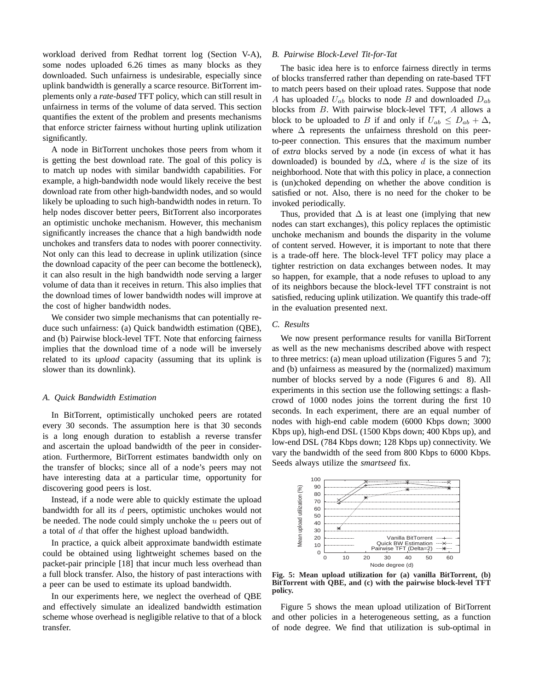workload derived from Redhat torrent log (Section V-A), some nodes uploaded 6.26 times as many blocks as they downloaded. Such unfairness is undesirable, especially since uplink bandwidth is generally a scarce resource. BitTorrent implements only a *rate-based* TFT policy, which can still result in unfairness in terms of the volume of data served. This section quantifies the extent of the problem and presents mechanisms that enforce stricter fairness without hurting uplink utilization significantly.

A node in BitTorrent unchokes those peers from whom it is getting the best download rate. The goal of this policy is to match up nodes with similar bandwidth capabilities. For example, a high-bandwidth node would likely receive the best download rate from other high-bandwidth nodes, and so would likely be uploading to such high-bandwidth nodes in return. To help nodes discover better peers, BitTorrent also incorporates an optimistic unchoke mechanism. However, this mechanism significantly increases the chance that a high bandwidth node unchokes and transfers data to nodes with poorer connectivity. Not only can this lead to decrease in uplink utilization (since the download capacity of the peer can become the bottleneck), it can also result in the high bandwidth node serving a larger volume of data than it receives in return. This also implies that the download times of lower bandwidth nodes will improve at the cost of higher bandwidth nodes.

We consider two simple mechanisms that can potentially reduce such unfairness: (a) Quick bandwidth estimation (QBE), and (b) Pairwise block-level TFT. Note that enforcing fairness implies that the download time of a node will be inversely related to its *upload* capacity (assuming that its uplink is slower than its downlink).

# *A. Quick Bandwidth Estimation*

In BitTorrent, optimistically unchoked peers are rotated every 30 seconds. The assumption here is that 30 seconds is a long enough duration to establish a reverse transfer and ascertain the upload bandwidth of the peer in consideration. Furthermore, BitTorrent estimates bandwidth only on the transfer of blocks; since all of a node's peers may not have interesting data at a particular time, opportunity for discovering good peers is lost.

Instead, if a node were able to quickly estimate the upload bandwidth for all its d peers, optimistic unchokes would not be needed. The node could simply unchoke the  $u$  peers out of a total of d that offer the highest upload bandwidth.

In practice, a quick albeit approximate bandwidth estimate could be obtained using lightweight schemes based on the packet-pair principle [18] that incur much less overhead than a full block transfer. Also, the history of past interactions with a peer can be used to estimate its upload bandwidth.

In our experiments here, we neglect the overhead of QBE and effectively simulate an idealized bandwidth estimation scheme whose overhead is negligible relative to that of a block transfer.

## *B. Pairwise Block-Level Tit-for-Tat*

The basic idea here is to enforce fairness directly in terms of blocks transferred rather than depending on rate-based TFT to match peers based on their upload rates. Suppose that node A has uploaded  $U_{ab}$  blocks to node B and downloaded  $D_{ab}$ blocks from B. With pairwise block-level TFT, A allows a block to be uploaded to B if and only if  $U_{ab} \leq D_{ab} + \Delta$ , where  $\Delta$  represents the unfairness threshold on this peerto-peer connection. This ensures that the maximum number of *extra* blocks served by a node (in excess of what it has downloaded) is bounded by  $d\Delta$ , where d is the size of its neighborhood. Note that with this policy in place, a connection is (un)choked depending on whether the above condition is satisfied or not. Also, there is no need for the choker to be invoked periodically.

Thus, provided that  $\Delta$  is at least one (implying that new nodes can start exchanges), this policy replaces the optimistic unchoke mechanism and bounds the disparity in the volume of content served. However, it is important to note that there is a trade-off here. The block-level TFT policy may place a tighter restriction on data exchanges between nodes. It may so happen, for example, that a node refuses to upload to any of its neighbors because the block-level TFT constraint is not satisfied, reducing uplink utilization. We quantify this trade-off in the evaluation presented next.

# *C. Results*

We now present performance results for vanilla BitTorrent as well as the new mechanisms described above with respect to three metrics: (a) mean upload utilization (Figures 5 and 7); and (b) unfairness as measured by the (normalized) maximum number of blocks served by a node (Figures 6 and 8). All experiments in this section use the following settings: a flashcrowd of 1000 nodes joins the torrent during the first 10 seconds. In each experiment, there are an equal number of nodes with high-end cable modem (6000 Kbps down; 3000 Kbps up), high-end DSL (1500 Kbps down; 400 Kbps up), and low-end DSL (784 Kbps down; 128 Kbps up) connectivity. We vary the bandwidth of the seed from 800 Kbps to 6000 Kbps. Seeds always utilize the *smartseed* fix.



**Fig. 5: Mean upload utilization for (a) vanilla BitTorrent, (b) BitTorrent with QBE, and (c) with the pairwise block-level TFT policy.**

Figure 5 shows the mean upload utilization of BitTorrent and other policies in a heterogeneous setting, as a function of node degree. We find that utilization is sub-optimal in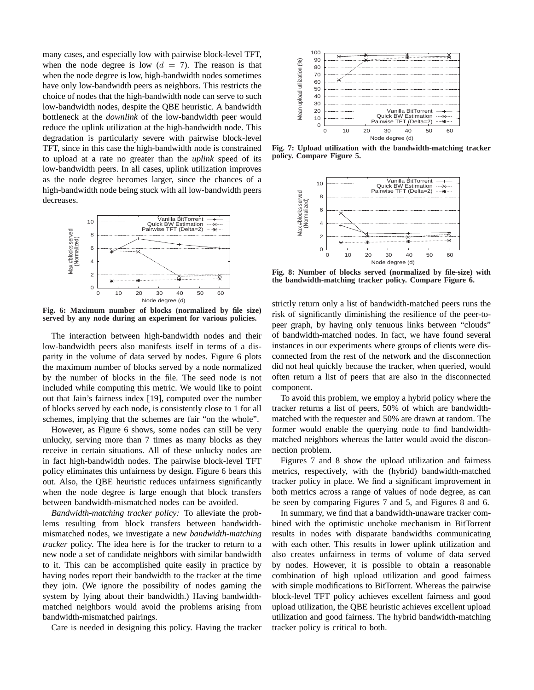many cases, and especially low with pairwise block-level TFT, when the node degree is low  $(d = 7)$ . The reason is that when the node degree is low, high-bandwidth nodes sometimes have only low-bandwidth peers as neighbors. This restricts the choice of nodes that the high-bandwidth node can serve to such low-bandwidth nodes, despite the QBE heuristic. A bandwidth bottleneck at the *downlink* of the low-bandwidth peer would reduce the uplink utilization at the high-bandwidth node. This degradation is particularly severe with pairwise block-level TFT, since in this case the high-bandwidth node is constrained to upload at a rate no greater than the *uplink* speed of its low-bandwidth peers. In all cases, uplink utilization improves as the node degree becomes larger, since the chances of a high-bandwidth node being stuck with all low-bandwidth peers decreases.



**Fig. 6: Maximum number of blocks (normalized by file size) served by any node during an experiment for various policies.**

The interaction between high-bandwidth nodes and their low-bandwidth peers also manifests itself in terms of a disparity in the volume of data served by nodes. Figure 6 plots the maximum number of blocks served by a node normalized by the number of blocks in the file. The seed node is not included while computing this metric. We would like to point out that Jain's fairness index [19], computed over the number of blocks served by each node, is consistently close to 1 for all schemes, implying that the schemes are fair "on the whole".

However, as Figure 6 shows, some nodes can still be very unlucky, serving more than 7 times as many blocks as they receive in certain situations. All of these unlucky nodes are in fact high-bandwidth nodes. The pairwise block-level TFT policy eliminates this unfairness by design. Figure 6 bears this out. Also, the QBE heuristic reduces unfairness significantly when the node degree is large enough that block transfers between bandwidth-mismatched nodes can be avoided.

*Bandwidth-matching tracker policy:* To alleviate the problems resulting from block transfers between bandwidthmismatched nodes, we investigate a new *bandwidth-matching tracker* policy. The idea here is for the tracker to return to a new node a set of candidate neighbors with similar bandwidth to it. This can be accomplished quite easily in practice by having nodes report their bandwidth to the tracker at the time they join. (We ignore the possibility of nodes gaming the system by lying about their bandwidth.) Having bandwidthmatched neighbors would avoid the problems arising from bandwidth-mismatched pairings.

Care is needed in designing this policy. Having the tracker



**Fig. 7: Upload utilization with the bandwidth-matching tracker policy. Compare Figure 5.**



**Fig. 8: Number of blocks served (normalized by file-size) with the bandwidth-matching tracker policy. Compare Figure 6.**

strictly return only a list of bandwidth-matched peers runs the risk of significantly diminishing the resilience of the peer-topeer graph, by having only tenuous links between "clouds" of bandwidth-matched nodes. In fact, we have found several instances in our experiments where groups of clients were disconnected from the rest of the network and the disconnection did not heal quickly because the tracker, when queried, would often return a list of peers that are also in the disconnected component.

To avoid this problem, we employ a hybrid policy where the tracker returns a list of peers, 50% of which are bandwidthmatched with the requester and 50% are drawn at random. The former would enable the querying node to find bandwidthmatched neighbors whereas the latter would avoid the disconnection problem.

Figures 7 and 8 show the upload utilization and fairness metrics, respectively, with the (hybrid) bandwidth-matched tracker policy in place. We find a significant improvement in both metrics across a range of values of node degree, as can be seen by comparing Figures 7 and 5, and Figures 8 and 6.

In summary, we find that a bandwidth-unaware tracker combined with the optimistic unchoke mechanism in BitTorrent results in nodes with disparate bandwidths communicating with each other. This results in lower uplink utilization and also creates unfairness in terms of volume of data served by nodes. However, it is possible to obtain a reasonable combination of high upload utilization and good fairness with simple modifications to BitTorrent. Whereas the pairwise block-level TFT policy achieves excellent fairness and good upload utilization, the QBE heuristic achieves excellent upload utilization and good fairness. The hybrid bandwidth-matching tracker policy is critical to both.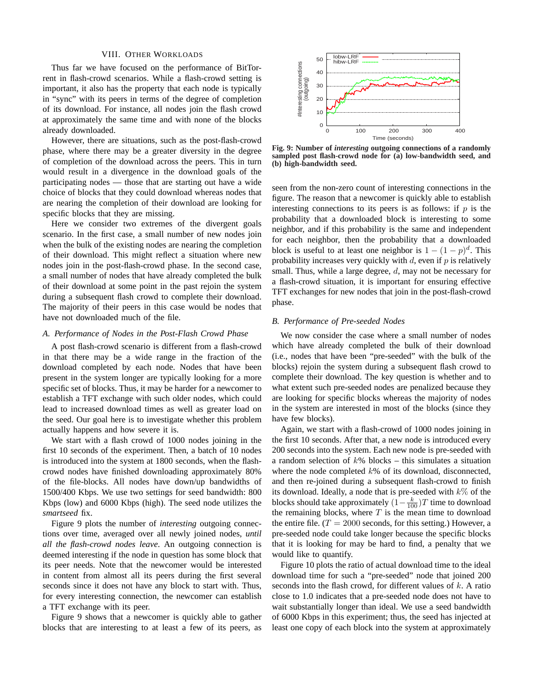## VIII. OTHER WORKLOADS

Thus far we have focused on the performance of BitTorrent in flash-crowd scenarios. While a flash-crowd setting is important, it also has the property that each node is typically in "sync" with its peers in terms of the degree of completion of its download. For instance, all nodes join the flash crowd at approximately the same time and with none of the blocks already downloaded.

However, there are situations, such as the post-flash-crowd phase, where there may be a greater diversity in the degree of completion of the download across the peers. This in turn would result in a divergence in the download goals of the participating nodes — those that are starting out have a wide choice of blocks that they could download whereas nodes that are nearing the completion of their download are looking for specific blocks that they are missing.

Here we consider two extremes of the divergent goals scenario. In the first case, a small number of new nodes join when the bulk of the existing nodes are nearing the completion of their download. This might reflect a situation where new nodes join in the post-flash-crowd phase. In the second case, a small number of nodes that have already completed the bulk of their download at some point in the past rejoin the system during a subsequent flash crowd to complete their download. The majority of their peers in this case would be nodes that have not downloaded much of the file.

## *A. Performance of Nodes in the Post-Flash Crowd Phase*

A post flash-crowd scenario is different from a flash-crowd in that there may be a wide range in the fraction of the download completed by each node. Nodes that have been present in the system longer are typically looking for a more specific set of blocks. Thus, it may be harder for a newcomer to establish a TFT exchange with such older nodes, which could lead to increased download times as well as greater load on the seed. Our goal here is to investigate whether this problem actually happens and how severe it is.

We start with a flash crowd of 1000 nodes joining in the first 10 seconds of the experiment. Then, a batch of 10 nodes is introduced into the system at 1800 seconds, when the flashcrowd nodes have finished downloading approximately 80% of the file-blocks. All nodes have down/up bandwidths of 1500/400 Kbps. We use two settings for seed bandwidth: 800 Kbps (low) and 6000 Kbps (high). The seed node utilizes the *smartseed* fix.

Figure 9 plots the number of *interesting* outgoing connections over time, averaged over all newly joined nodes, *until all the flash-crowd nodes leave*. An outgoing connection is deemed interesting if the node in question has some block that its peer needs. Note that the newcomer would be interested in content from almost all its peers during the first several seconds since it does not have any block to start with. Thus, for every interesting connection, the newcomer can establish a TFT exchange with its peer.

Figure 9 shows that a newcomer is quickly able to gather blocks that are interesting to at least a few of its peers, as



**Fig. 9: Number of** *interesting* **outgoing connections of a randomly sampled post flash-crowd node for (a) low-bandwidth seed, and (b) high-bandwidth seed.**

seen from the non-zero count of interesting connections in the figure. The reason that a newcomer is quickly able to establish interesting connections to its peers is as follows: if  $p$  is the probability that a downloaded block is interesting to some neighbor, and if this probability is the same and independent for each neighbor, then the probability that a downloaded block is useful to at least one neighbor is  $1 - (1 - p)^d$ . This probability increases very quickly with  $d$ , even if  $p$  is relatively small. Thus, while a large degree, d, may not be necessary for a flash-crowd situation, it is important for ensuring effective TFT exchanges for new nodes that join in the post-flash-crowd phase.

# *B. Performance of Pre-seeded Nodes*

We now consider the case where a small number of nodes which have already completed the bulk of their download (i.e., nodes that have been "pre-seeded" with the bulk of the blocks) rejoin the system during a subsequent flash crowd to complete their download. The key question is whether and to what extent such pre-seeded nodes are penalized because they are looking for specific blocks whereas the majority of nodes in the system are interested in most of the blocks (since they have few blocks).

Again, we start with a flash-crowd of 1000 nodes joining in the first 10 seconds. After that, a new node is introduced every 200 seconds into the system. Each new node is pre-seeded with a random selection of  $k\%$  blocks – this simulates a situation where the node completed  $k\%$  of its download, disconnected, and then re-joined during a subsequent flash-crowd to finish its download. Ideally, a node that is pre-seeded with  $k\%$  of the blocks should take approximately  $(1 - \frac{k}{100})T$  time to download the remaining blocks, where  $T$  is the mean time to download the entire file. ( $T = 2000$  seconds, for this setting.) However, a pre-seeded node could take longer because the specific blocks that it is looking for may be hard to find, a penalty that we would like to quantify.

Figure 10 plots the ratio of actual download time to the ideal download time for such a "pre-seeded" node that joined 200 seconds into the flash crowd, for different values of  $k$ . A ratio close to 1.0 indicates that a pre-seeded node does not have to wait substantially longer than ideal. We use a seed bandwidth of 6000 Kbps in this experiment; thus, the seed has injected at least one copy of each block into the system at approximately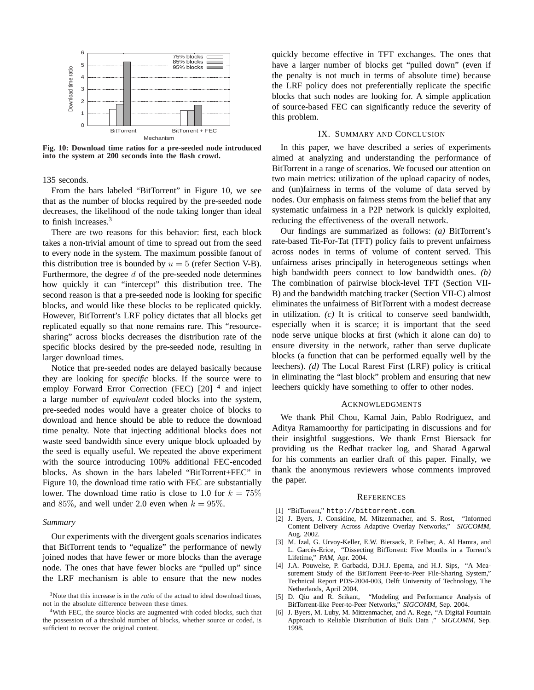

**Fig. 10: Download time ratios for a pre-seeded node introduced into the system at 200 seconds into the flash crowd.**

## 135 seconds.

From the bars labeled "BitTorrent" in Figure 10, we see that as the number of blocks required by the pre-seeded node decreases, the likelihood of the node taking longer than ideal to finish increases. $3$ 

There are two reasons for this behavior: first, each block takes a non-trivial amount of time to spread out from the seed to every node in the system. The maximum possible fanout of this distribution tree is bounded by  $u = 5$  (refer Section V-B). Furthermore, the degree  $d$  of the pre-seeded node determines how quickly it can "intercept" this distribution tree. The second reason is that a pre-seeded node is looking for specific blocks, and would like these blocks to be replicated quickly. However, BitTorrent's LRF policy dictates that all blocks get replicated equally so that none remains rare. This "resourcesharing" across blocks decreases the distribution rate of the specific blocks desired by the pre-seeded node, resulting in larger download times.

Notice that pre-seeded nodes are delayed basically because they are looking for *specific* blocks. If the source were to employ Forward Error Correction (FEC) [20]<sup>4</sup> and inject a large number of *equivalent* coded blocks into the system, pre-seeded nodes would have a greater choice of blocks to download and hence should be able to reduce the download time penalty. Note that injecting additional blocks does not waste seed bandwidth since every unique block uploaded by the seed is equally useful. We repeated the above experiment with the source introducing 100% additional FEC-encoded blocks. As shown in the bars labeled "BitTorrent+FEC" in Figure 10, the download time ratio with FEC are substantially lower. The download time ratio is close to 1.0 for  $k = 75\%$ and 85%, and well under 2.0 even when  $k = 95\%$ .

# *Summary*

Our experiments with the divergent goals scenarios indicates that BitTorrent tends to "equalize" the performance of newly joined nodes that have fewer or more blocks than the average node. The ones that have fewer blocks are "pulled up" since the LRF mechanism is able to ensure that the new nodes

quickly become effective in TFT exchanges. The ones that have a larger number of blocks get "pulled down" (even if the penalty is not much in terms of absolute time) because the LRF policy does not preferentially replicate the specific blocks that such nodes are looking for. A simple application of source-based FEC can significantly reduce the severity of this problem.

# IX. SUMMARY AND CONCLUSION

In this paper, we have described a series of experiments aimed at analyzing and understanding the performance of BitTorrent in a range of scenarios. We focused our attention on two main metrics: utilization of the upload capacity of nodes, and (un)fairness in terms of the volume of data served by nodes. Our emphasis on fairness stems from the belief that any systematic unfairness in a P2P network is quickly exploited, reducing the effectiveness of the overall network.

Our findings are summarized as follows: *(a)* BitTorrent's rate-based Tit-For-Tat (TFT) policy fails to prevent unfairness across nodes in terms of volume of content served. This unfairness arises principally in heterogeneous settings when high bandwidth peers connect to low bandwidth ones. *(b)* The combination of pairwise block-level TFT (Section VII-B) and the bandwidth matching tracker (Section VII-C) almost eliminates the unfairness of BitTorrent with a modest decrease in utilization. *(c)* It is critical to conserve seed bandwidth, especially when it is scarce; it is important that the seed node serve unique blocks at first (which it alone can do) to ensure diversity in the network, rather than serve duplicate blocks (a function that can be performed equally well by the leechers). *(d)* The Local Rarest First (LRF) policy is critical in eliminating the "last block" problem and ensuring that new leechers quickly have something to offer to other nodes.

#### ACKNOWLEDGMENTS

We thank Phil Chou, Kamal Jain, Pablo Rodriguez, and Aditya Ramamoorthy for participating in discussions and for their insightful suggestions. We thank Ernst Biersack for providing us the Redhat tracker log, and Sharad Agarwal for his comments an earlier draft of this paper. Finally, we thank the anonymous reviewers whose comments improved the paper.

#### **REFERENCES**

- [1] "BitTorrent," http://bittorrent.com.
- [2] J. Byers, J. Considine, M. Mitzenmacher, and S. Rost, "Informed Content Delivery Across Adaptive Overlay Networks," SIGCOMM, Content Delivery Across Adaptive Overlay Networks," Aug. 2002.
- [3] M. Izal, G. Urvoy-Keller, E.W. Biersack, P. Felber, A. Al Hamra, and L. Garcés-Erice, "Dissecting BitTorrent: Five Months in a Torrent's Lifetime," *PAM*, Apr. 2004.
- [4] J.A. Pouwelse, P. Garbacki, D.H.J. Epema, and H.J. Sips, "A Measurement Study of the BitTorrent Peer-to-Peer File-Sharing System," Technical Report PDS-2004-003, Delft University of Technology, The Netherlands, April 2004.
- [5] D. Qiu and R. Srikant, "Modeling and Performance Analysis of BitTorrent-like Peer-to-Peer Networks," *SIGCOMM*, Sep. 2004.
- [6] J. Byers, M. Luby, M. Mitzenmacher, and A. Rege, "A Digital Fountain Approach to Reliable Distribution of Bulk Data ," *SIGCOMM*, Sep. 1998.

<sup>&</sup>lt;sup>3</sup>Note that this increase is in the *ratio* of the actual to ideal download times, not in the absolute difference between these times.

<sup>&</sup>lt;sup>4</sup>With FEC, the source blocks are augmented with coded blocks, such that the possession of a threshold number of blocks, whether source or coded, is sufficient to recover the original content.